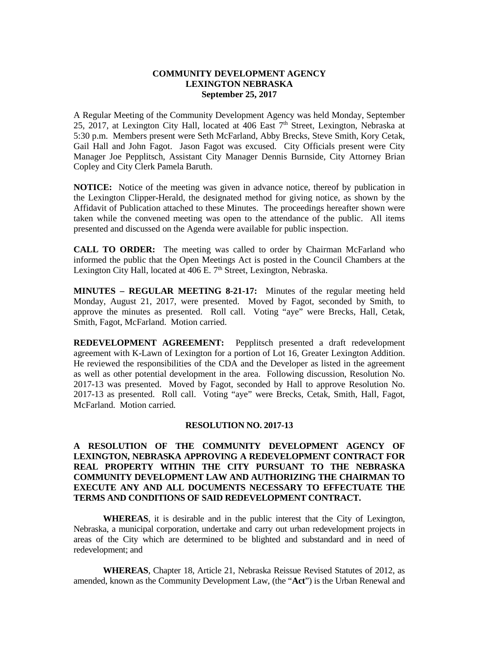## **COMMUNITY DEVELOPMENT AGENCY LEXINGTON NEBRASKA September 25, 2017**

A Regular Meeting of the Community Development Agency was held Monday, September 25, 2017, at Lexington City Hall, located at 406 East  $7<sup>th</sup>$  Street, Lexington, Nebraska at 5:30 p.m. Members present were Seth McFarland, Abby Brecks, Steve Smith, Kory Cetak, Gail Hall and John Fagot. Jason Fagot was excused. City Officials present were City Manager Joe Pepplitsch, Assistant City Manager Dennis Burnside, City Attorney Brian Copley and City Clerk Pamela Baruth.

**NOTICE:** Notice of the meeting was given in advance notice, thereof by publication in the Lexington Clipper-Herald, the designated method for giving notice, as shown by the Affidavit of Publication attached to these Minutes. The proceedings hereafter shown were taken while the convened meeting was open to the attendance of the public. All items presented and discussed on the Agenda were available for public inspection.

**CALL TO ORDER:** The meeting was called to order by Chairman McFarland who informed the public that the Open Meetings Act is posted in the Council Chambers at the Lexington City Hall, located at 406 E. 7<sup>th</sup> Street, Lexington, Nebraska.

**MINUTES – REGULAR MEETING 8-21-17:** Minutes of the regular meeting held Monday, August 21, 2017, were presented. Moved by Fagot, seconded by Smith, to approve the minutes as presented. Roll call. Voting "aye" were Brecks, Hall, Cetak, Smith, Fagot, McFarland. Motion carried.

**REDEVELOPMENT AGREEMENT:** Pepplitsch presented a draft redevelopment agreement with K-Lawn of Lexington for a portion of Lot 16, Greater Lexington Addition. He reviewed the responsibilities of the CDA and the Developer as listed in the agreement as well as other potential development in the area. Following discussion, Resolution No. 2017-13 was presented. Moved by Fagot, seconded by Hall to approve Resolution No. 2017-13 as presented. Roll call. Voting "aye" were Brecks, Cetak, Smith, Hall, Fagot, McFarland. Motion carried.

## **RESOLUTION NO. 2017-13**

**A RESOLUTION OF THE COMMUNITY DEVELOPMENT AGENCY OF LEXINGTON, NEBRASKA APPROVING A REDEVELOPMENT CONTRACT FOR REAL PROPERTY WITHIN THE CITY PURSUANT TO THE NEBRASKA COMMUNITY DEVELOPMENT LAW AND AUTHORIZING THE CHAIRMAN TO EXECUTE ANY AND ALL DOCUMENTS NECESSARY TO EFFECTUATE THE TERMS AND CONDITIONS OF SAID REDEVELOPMENT CONTRACT.**

**WHEREAS**, it is desirable and in the public interest that the City of Lexington, Nebraska, a municipal corporation, undertake and carry out urban redevelopment projects in areas of the City which are determined to be blighted and substandard and in need of redevelopment; and

**WHEREAS**, Chapter 18, Article 21, Nebraska Reissue Revised Statutes of 2012, as amended, known as the Community Development Law, (the "**Act**") is the Urban Renewal and